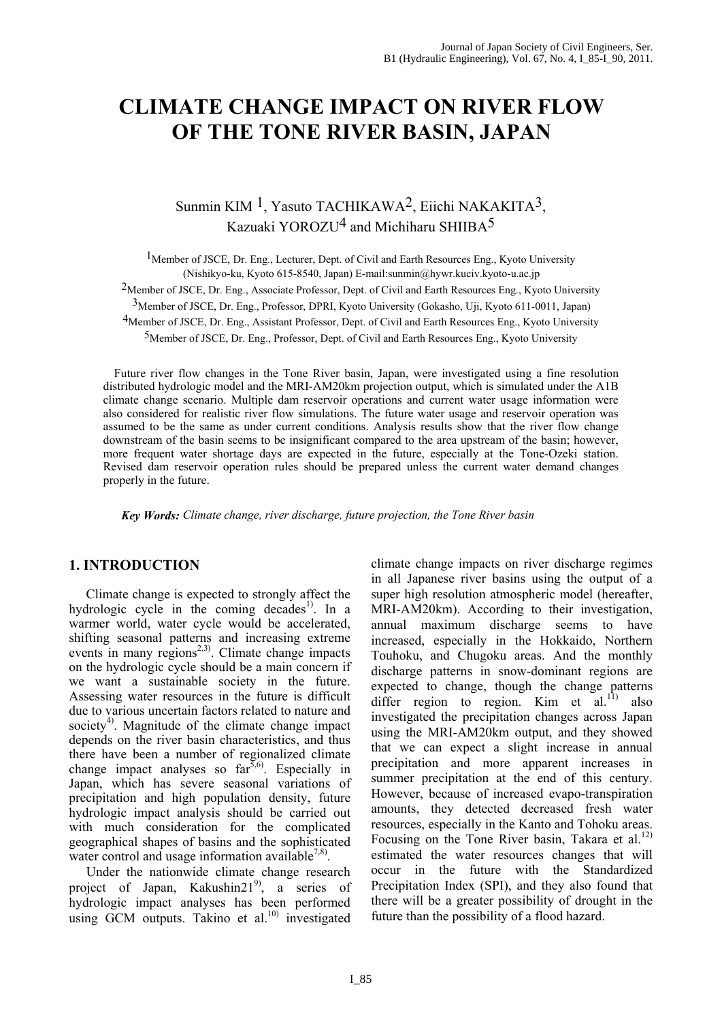# **CLIMATE CHANGE IMPACT ON RIVER FLOW OF THE TONE RIVER BASIN, JAPAN**

# Sunmin KIM 1, Yasuto TACHIKAWA2, Eiichi NAKAKITA3, Kazuaki YOROZU<sup>4</sup> and Michiharu SHIIBA<sup>5</sup>

<sup>1</sup>Member of JSCE, Dr. Eng., Lecturer, Dept. of Civil and Earth Resources Eng., Kyoto University (Nishikyo-ku, Kyoto 615-8540, Japan) E-mail:sunmin@hywr.kuciv.kyoto-u.ac.jp

<sup>2</sup>Member of JSCE, Dr. Eng., Associate Professor, Dept. of Civil and Earth Resources Eng., Kyoto University

3Member of JSCE, Dr. Eng., Professor, DPRI, Kyoto University (Gokasho, Uji, Kyoto 611-0011, Japan)

<sup>4</sup>Member of JSCE, Dr. Eng., Assistant Professor, Dept. of Civil and Earth Resources Eng., Kyoto University

5Member of JSCE, Dr. Eng., Professor, Dept. of Civil and Earth Resources Eng., Kyoto University

Future river flow changes in the Tone River basin, Japan, were investigated using a fine resolution distributed hydrologic model and the MRI-AM20km projection output, which is simulated under the A1B climate change scenario. Multiple dam reservoir operations and current water usage information were also considered for realistic river flow simulations. The future water usage and reservoir operation was assumed to be the same as under current conditions. Analysis results show that the river flow change downstream of the basin seems to be insignificant compared to the area upstream of the basin; however, more frequent water shortage days are expected in the future, especially at the Tone-Ozeki station. Revised dam reservoir operation rules should be prepared unless the current water demand changes properly in the future.

 *Key Words: Climate change, river discharge, future projection, the Tone River basin*

### **1. INTRODUCTION**

Climate change is expected to strongly affect the hydrologic cycle in the coming decades<sup>1)</sup>. In a warmer world, water cycle would be accelerated, shifting seasonal patterns and increasing extreme events in many regions<sup>2,3)</sup>. Climate change impacts on the hydrologic cycle should be a main concern if we want a sustainable society in the future. Assessing water resources in the future is difficult due to various uncertain factors related to nature and society<sup>4)</sup>. Magnitude of the climate change impact depends on the river basin characteristics, and thus there have been a number of regionalized climate change impact analyses so  $far^{5,6}$ . Especially in Japan, which has severe seasonal variations of precipitation and high population density, future hydrologic impact analysis should be carried out with much consideration for the complicated geographical shapes of basins and the sophisticated water control and usage information available<sup>7,8)</sup>.

Under the nationwide climate change research project of Japan, Kakushin21 $^{9}$ , a series of hydrologic impact analyses has been performed using GCM outputs. Takino et al. $^{10)}$  investigated climate change impacts on river discharge regimes in all Japanese river basins using the output of a super high resolution atmospheric model (hereafter, MRI-AM20km). According to their investigation, annual maximum discharge seems to have increased, especially in the Hokkaido, Northern Touhoku, and Chugoku areas. And the monthly discharge patterns in snow-dominant regions are expected to change, though the change patterns differ region to region. Kim et al.<sup>11)</sup> also investigated the precipitation changes across Japan using the MRI-AM20km output, and they showed that we can expect a slight increase in annual precipitation and more apparent increases in summer precipitation at the end of this century. However, because of increased evapo-transpiration amounts, they detected decreased fresh water resources, especially in the Kanto and Tohoku areas. Focusing on the Tone River basin, Takara et al.<sup>12)</sup> estimated the water resources changes that will occur in the future with the Standardized Precipitation Index (SPI), and they also found that there will be a greater possibility of drought in the future than the possibility of a flood hazard.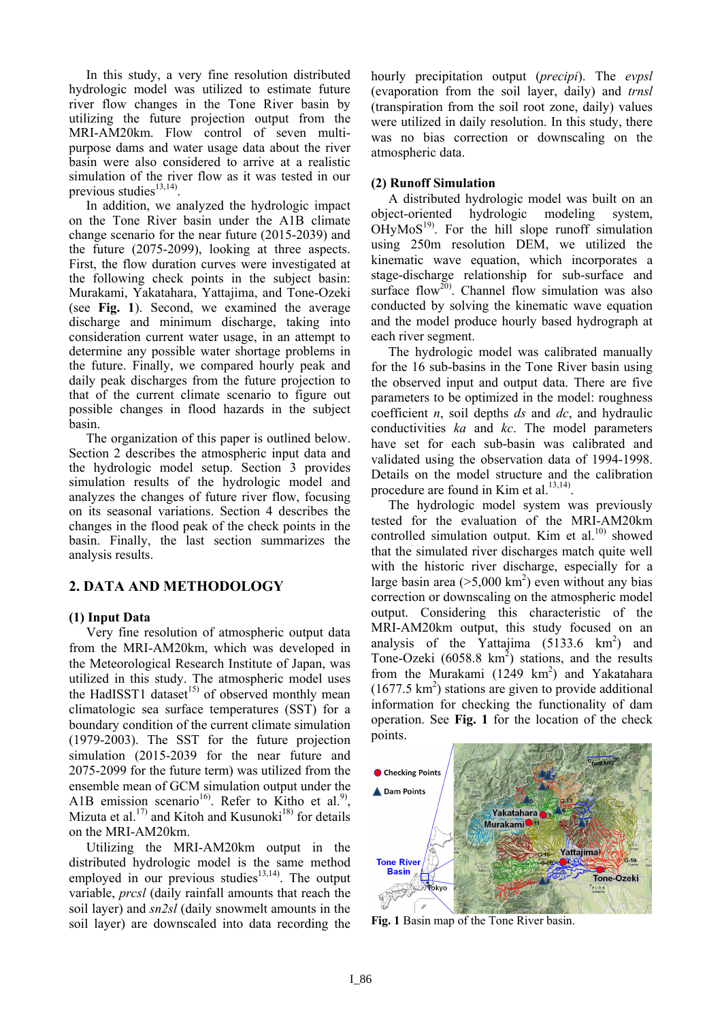In this study, a very fine resolution distributed hydrologic model was utilized to estimate future river flow changes in the Tone River basin by utilizing the future projection output from the MRI-AM20km. Flow control of seven multipurpose dams and water usage data about the river basin were also considered to arrive at a realistic simulation of the river flow as it was tested in our previous studies<sup>13,14)</sup>

In addition, we analyzed the hydrologic impact on the Tone River basin under the A1B climate change scenario for the near future (2015-2039) and the future (2075-2099), looking at three aspects. First, the flow duration curves were investigated at the following check points in the subject basin: Murakami, Yakatahara, Yattajima, and Tone-Ozeki (see **Fig. 1**). Second, we examined the average discharge and minimum discharge, taking into consideration current water usage, in an attempt to determine any possible water shortage problems in the future. Finally, we compared hourly peak and daily peak discharges from the future projection to that of the current climate scenario to figure out possible changes in flood hazards in the subject basin.

The organization of this paper is outlined below. Section 2 describes the atmospheric input data and the hydrologic model setup. Section 3 provides simulation results of the hydrologic model and analyzes the changes of future river flow, focusing on its seasonal variations. Section 4 describes the changes in the flood peak of the check points in the basin. Finally, the last section summarizes the analysis results.

## **2. DATA AND METHODOLOGY**

#### **(1) Input Data**

Very fine resolution of atmospheric output data from the MRI-AM20km, which was developed in the Meteorological Research Institute of Japan, was utilized in this study. The atmospheric model uses the HadISST1 dataset<sup>15)</sup> of observed monthly mean climatologic sea surface temperatures (SST) for a boundary condition of the current climate simulation (1979-2003). The SST for the future projection simulation (2015-2039 for the near future and 2075-2099 for the future term) was utilized from the ensemble mean of GCM simulation output under the A1B emission scenario<sup>16</sup>. Refer to Kitho et al.<sup>9</sup>, Mizuta et al.<sup>17)</sup> and Kitoh and Kusunoki<sup>18)</sup> for details on the MRI-AM20km.

Utilizing the MRI-AM20km output in the distributed hydrologic model is the same method employed in our previous studies<sup>13,14</sup>. The output variable, *prcsl* (daily rainfall amounts that reach the soil layer) and *sn2sl* (daily snowmelt amounts in the soil layer) are downscaled into data recording the

hourly precipitation output (*precipi*). The *evpsl* (evaporation from the soil layer, daily) and *trnsl* (transpiration from the soil root zone, daily) values were utilized in daily resolution. In this study, there was no bias correction or downscaling on the atmospheric data.

#### **(2) Runoff Simulation**

A distributed hydrologic model was built on an object-oriented hydrologic modeling system,  $OHyMoS<sup>19</sup>$ . For the hill slope runoff simulation using 250m resolution DEM, we utilized the kinematic wave equation, which incorporates a stage-discharge relationship for sub-surface and surface flow<sup>20</sup>. Channel flow simulation was also conducted by solving the kinematic wave equation and the model produce hourly based hydrograph at each river segment.

The hydrologic model was calibrated manually for the 16 sub-basins in the Tone River basin using the observed input and output data. There are five parameters to be optimized in the model: roughness coefficient *n*, soil depths *ds* and *dc*, and hydraulic conductivities *ka* and *kc*. The model parameters have set for each sub-basin was calibrated and validated using the observation data of 1994-1998. Details on the model structure and the calibration procedure are found in Kim et al.<sup>13,14)</sup>.

The hydrologic model system was previously tested for the evaluation of the MRI-AM20km controlled simulation output. Kim et al. $^{10}$  showed that the simulated river discharges match quite well with the historic river discharge, especially for a large basin area ( $>5,000$  km<sup>2</sup>) even without any bias correction or downscaling on the atmospheric model output. Considering this characteristic of the MRI-AM20km output, this study focused on an analysis of the Yattajima  $(5133.6 \text{ km}^2)$  and Tone-Ozeki  $(6058.8 \text{ km}^2)$  stations, and the results from the Murakami  $(1249 \text{ km}^2)$  and Yakatahara  $(1677.5 \text{ km}^2)$  stations are given to provide additional information for checking the functionality of dam operation. See **Fig. 1** for the location of the check points.



**Fig. 1** Basin map of the Tone River basin.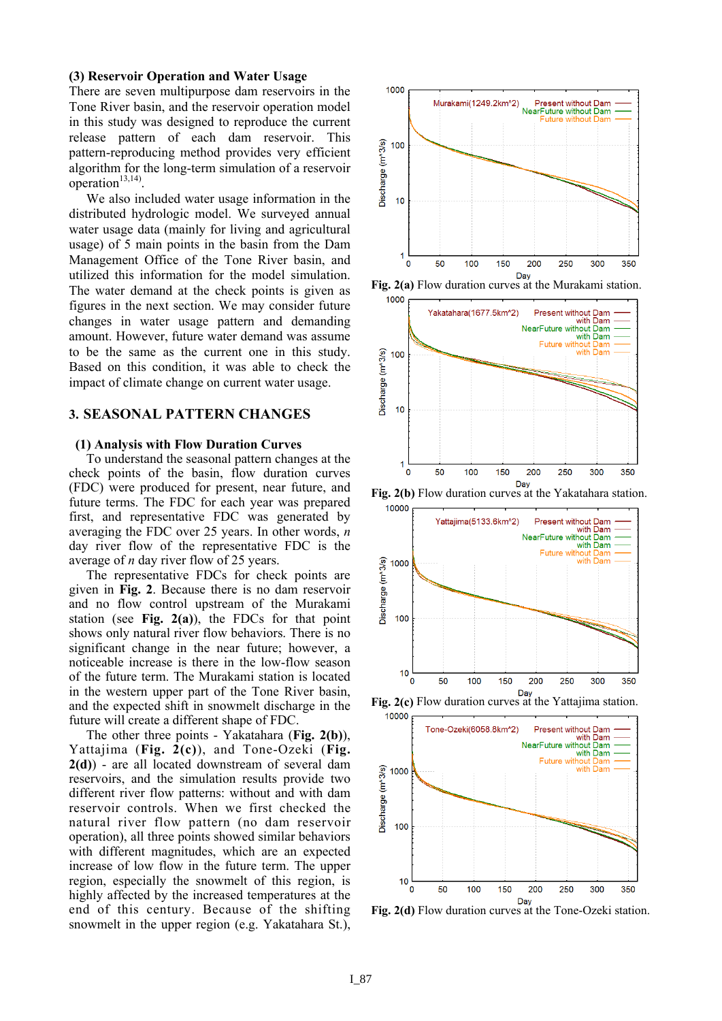#### **(3) Reservoir Operation and Water Usage**

There are seven multipurpose dam reservoirs in the Tone River basin, and the reservoir operation model in this study was designed to reproduce the current release pattern of each dam reservoir. This pattern-reproducing method provides very efficient algorithm for the long-term simulation of a reservoir operation $13,14$ 

We also included water usage information in the distributed hydrologic model. We surveyed annual water usage data (mainly for living and agricultural usage) of 5 main points in the basin from the Dam Management Office of the Tone River basin, and utilized this information for the model simulation. The water demand at the check points is given as figures in the next section. We may consider future changes in water usage pattern and demanding amount. However, future water demand was assume to be the same as the current one in this study. Based on this condition, it was able to check the impact of climate change on current water usage.

#### **3. SEASONAL PATTERN CHANGES**

#### **(1) Analysis with Flow Duration Curves**

To understand the seasonal pattern changes at the check points of the basin, flow duration curves (FDC) were produced for present, near future, and future terms. The FDC for each year was prepared first, and representative FDC was generated by averaging the FDC over 25 years. In other words, *n* day river flow of the representative FDC is the average of *n* day river flow of 25 years.

The representative FDCs for check points are given in **Fig. 2**. Because there is no dam reservoir and no flow control upstream of the Murakami station (see **Fig. 2(a)**), the FDCs for that point shows only natural river flow behaviors. There is no significant change in the near future; however, a noticeable increase is there in the low-flow season of the future term. The Murakami station is located in the western upper part of the Tone River basin, and the expected shift in snowmelt discharge in the future will create a different shape of FDC.

The other three points - Yakatahara (**Fig. 2(b)**), Yattajima (**Fig. 2(c)**), and Tone-Ozeki (**Fig. 2(d)**) - are all located downstream of several dam reservoirs, and the simulation results provide two different river flow patterns: without and with dam reservoir controls. When we first checked the natural river flow pattern (no dam reservoir operation), all three points showed similar behaviors with different magnitudes, which are an expected increase of low flow in the future term. The upper region, especially the snowmelt of this region, is highly affected by the increased temperatures at the end of this century. Because of the shifting snowmelt in the upper region (e.g. Yakatahara St.),



**Fig. 2(a)** Flow duration curves at the Murakami station.



**Fig. 2(b)** Flow duration curves at the Yakatahara station.



**Fig. 2(c)** Flow duration curves at the Yattajima station.



**Fig. 2(d)** Flow duration curves at the Tone-Ozeki station.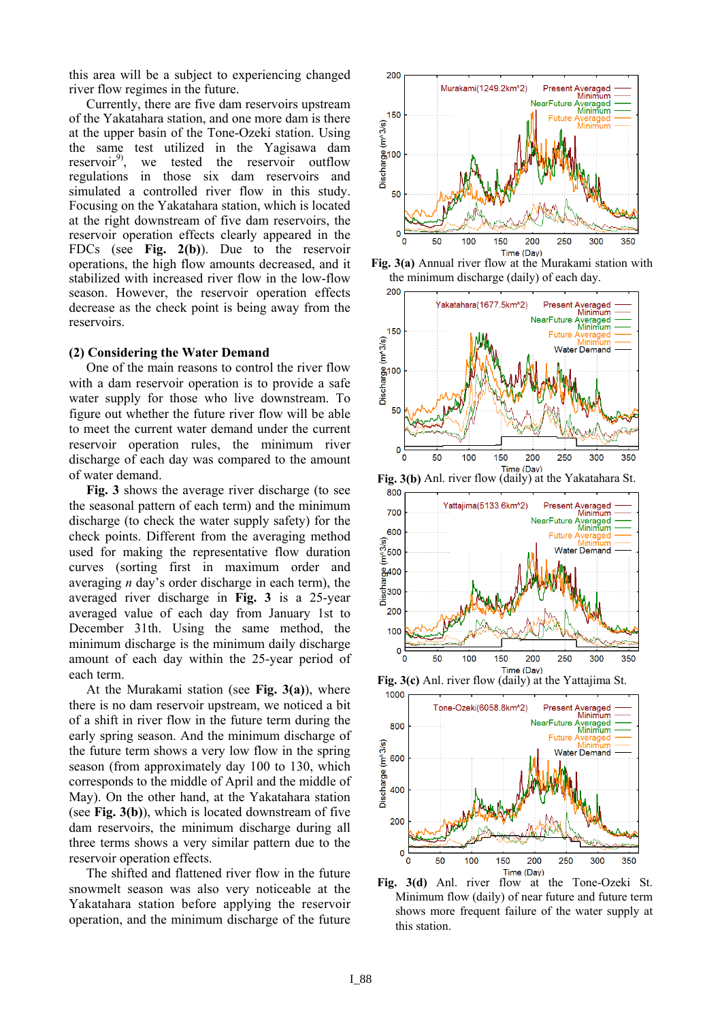this area will be a subject to experiencing changed river flow regimes in the future.

Currently, there are five dam reservoirs upstream of the Yakatahara station, and one more dam is there at the upper basin of the Tone-Ozeki station. Using the same test utilized in the Yagisawa dam reservoir $^{9}$ , we tested the reservoir outflow regulations in those six dam reservoirs and simulated a controlled river flow in this study. Focusing on the Yakatahara station, which is located at the right downstream of five dam reservoirs, the reservoir operation effects clearly appeared in the FDCs (see **Fig. 2(b)**). Due to the reservoir operations, the high flow amounts decreased, and it stabilized with increased river flow in the low-flow season. However, the reservoir operation effects decrease as the check point is being away from the reservoirs.

#### **(2) Considering the Water Demand**

One of the main reasons to control the river flow with a dam reservoir operation is to provide a safe water supply for those who live downstream. To figure out whether the future river flow will be able to meet the current water demand under the current reservoir operation rules, the minimum river discharge of each day was compared to the amount of water demand.

**Fig. 3** shows the average river discharge (to see the seasonal pattern of each term) and the minimum discharge (to check the water supply safety) for the check points. Different from the averaging method used for making the representative flow duration curves (sorting first in maximum order and averaging *n* day's order discharge in each term), the averaged river discharge in **Fig. 3** is a 25-year averaged value of each day from January 1st to December 31th. Using the same method, the minimum discharge is the minimum daily discharge amount of each day within the 25-year period of each term.

At the Murakami station (see **Fig. 3(a)**), where there is no dam reservoir upstream, we noticed a bit of a shift in river flow in the future term during the early spring season. And the minimum discharge of the future term shows a very low flow in the spring season (from approximately day 100 to 130, which corresponds to the middle of April and the middle of May). On the other hand, at the Yakatahara station (see **Fig. 3(b)**), which is located downstream of five dam reservoirs, the minimum discharge during all three terms shows a very similar pattern due to the reservoir operation effects.

The shifted and flattened river flow in the future snowmelt season was also very noticeable at the Yakatahara station before applying the reservoir operation, and the minimum discharge of the future



**Fig. 3(a)** Annual river flow at the Murakami station with the minimum discharge (daily) of each day.



**Fig. 3(b)** Anl. river flow (daily) at the Yakatahara St.



**Fig. 3(c)** Anl. river flow (daily) at the Yattajima St.



**Fig. 3(d)** Anl. river flow at the Tone-Ozeki St. Minimum flow (daily) of near future and future term shows more frequent failure of the water supply at this station.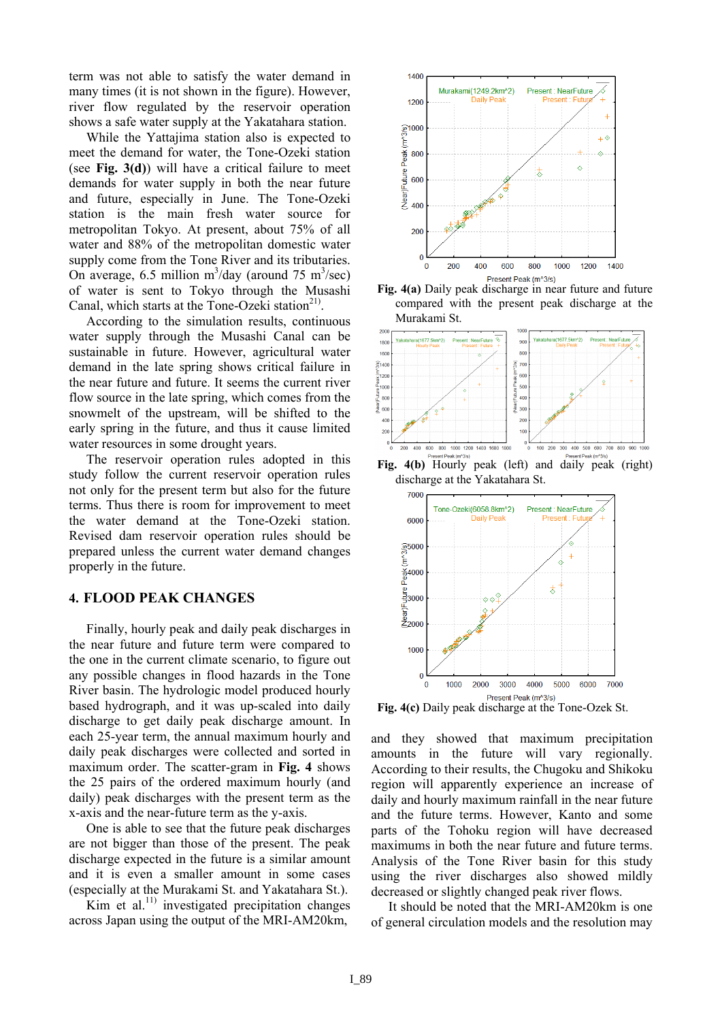term was not able to satisfy the water demand in many times (it is not shown in the figure). However, river flow regulated by the reservoir operation shows a safe water supply at the Yakatahara station.

While the Yattajima station also is expected to meet the demand for water, the Tone-Ozeki station (see **Fig. 3(d)**) will have a critical failure to meet demands for water supply in both the near future and future, especially in June. The Tone-Ozeki station is the main fresh water source for metropolitan Tokyo. At present, about 75% of all water and 88% of the metropolitan domestic water supply come from the Tone River and its tributaries. On average, 6.5 million  $m^3$ /day (around 75 m<sup>3</sup>/sec) of water is sent to Tokyo through the Musashi Canal, which starts at the Tone-Ozeki station $21$ .

According to the simulation results, continuous water supply through the Musashi Canal can be sustainable in future. However, agricultural water demand in the late spring shows critical failure in the near future and future. It seems the current river flow source in the late spring, which comes from the snowmelt of the upstream, will be shifted to the early spring in the future, and thus it cause limited water resources in some drought years.

The reservoir operation rules adopted in this study follow the current reservoir operation rules not only for the present term but also for the future terms. Thus there is room for improvement to meet the water demand at the Tone-Ozeki station. Revised dam reservoir operation rules should be prepared unless the current water demand changes properly in the future.

#### **4. FLOOD PEAK CHANGES**

Finally, hourly peak and daily peak discharges in the near future and future term were compared to the one in the current climate scenario, to figure out any possible changes in flood hazards in the Tone River basin. The hydrologic model produced hourly based hydrograph, and it was up-scaled into daily discharge to get daily peak discharge amount. In each 25-year term, the annual maximum hourly and daily peak discharges were collected and sorted in maximum order. The scatter-gram in **Fig. 4** shows the 25 pairs of the ordered maximum hourly (and daily) peak discharges with the present term as the x-axis and the near-future term as the y-axis.

One is able to see that the future peak discharges are not bigger than those of the present. The peak discharge expected in the future is a similar amount and it is even a smaller amount in some cases (especially at the Murakami St. and Yakatahara St.).

Kim et al.<sup>11)</sup> investigated precipitation changes across Japan using the output of the MRI-AM20km,



**Fig. 4(a)** Daily peak discharge in near future and future compared with the present peak discharge at the Murakami St.



**Fig. 4(b)** Hourly peak (left) and daily peak (right) discharge at the Yakatahara St.



Fig. 4(c) Daily peak discharge at the Tone-Ozek St.

and they showed that maximum precipitation amounts in the future will vary regionally. According to their results, the Chugoku and Shikoku region will apparently experience an increase of daily and hourly maximum rainfall in the near future and the future terms. However, Kanto and some parts of the Tohoku region will have decreased maximums in both the near future and future terms. Analysis of the Tone River basin for this study using the river discharges also showed mildly decreased or slightly changed peak river flows.

It should be noted that the MRI-AM20km is one of general circulation models and the resolution may